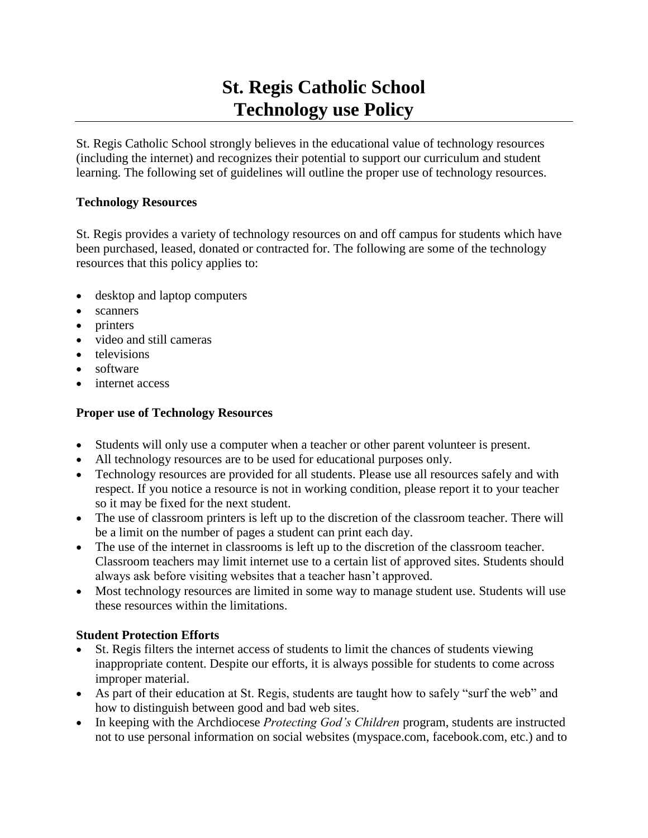# **St. Regis Catholic School Technology use Policy**

St. Regis Catholic School strongly believes in the educational value of technology resources (including the internet) and recognizes their potential to support our curriculum and student learning. The following set of guidelines will outline the proper use of technology resources.

#### **Technology Resources**

St. Regis provides a variety of technology resources on and off campus for students which have been purchased, leased, donated or contracted for. The following are some of the technology resources that this policy applies to:

- desktop and laptop computers
- scanners
- printers
- video and still cameras
- televisions
- software
- internet access

### **Proper use of Technology Resources**

- Students will only use a computer when a teacher or other parent volunteer is present.
- All technology resources are to be used for educational purposes only.
- Technology resources are provided for all students. Please use all resources safely and with respect. If you notice a resource is not in working condition, please report it to your teacher so it may be fixed for the next student.
- The use of classroom printers is left up to the discretion of the classroom teacher. There will be a limit on the number of pages a student can print each day.
- The use of the internet in classrooms is left up to the discretion of the classroom teacher. Classroom teachers may limit internet use to a certain list of approved sites. Students should always ask before visiting websites that a teacher hasn't approved.
- Most technology resources are limited in some way to manage student use. Students will use these resources within the limitations.

## **Student Protection Efforts**

- St. Regis filters the internet access of students to limit the chances of students viewing inappropriate content. Despite our efforts, it is always possible for students to come across improper material.
- As part of their education at St. Regis, students are taught how to safely "surf the web" and how to distinguish between good and bad web sites.
- In keeping with the Archdiocese *Protecting God's Children* program, students are instructed not to use personal information on social websites (myspace.com, facebook.com, etc.) and to